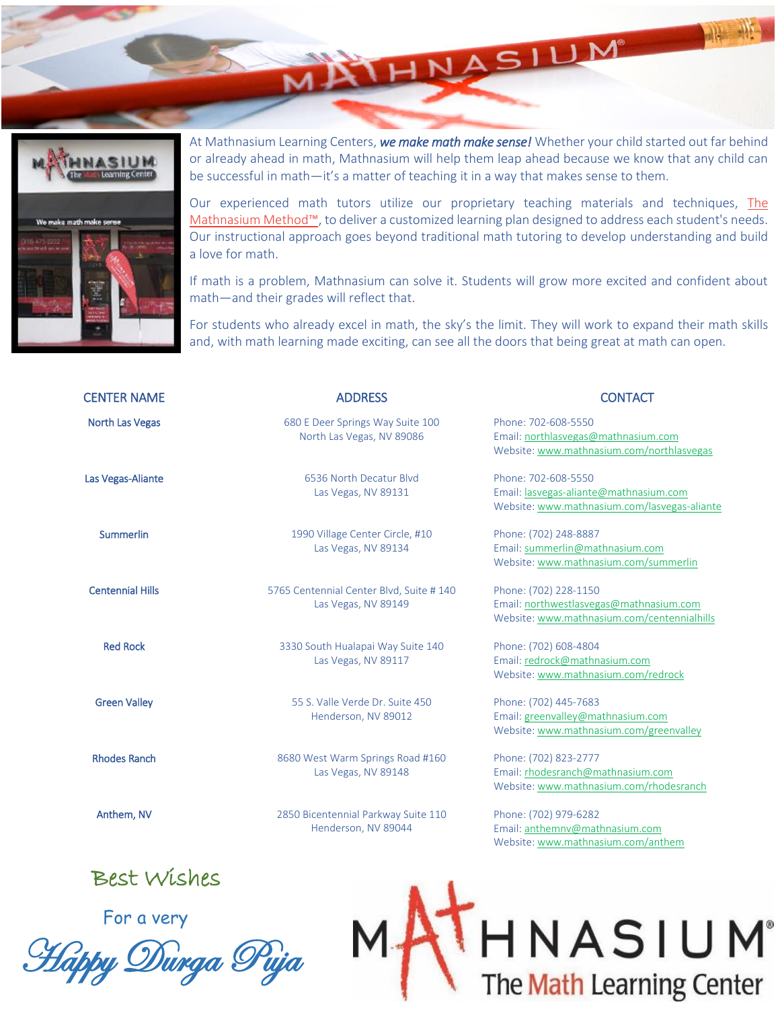

At Mathnasium Learning Centers, *we make math make sense!* Whether your child started out far behind or already ahead in math, Mathnasium will help them leap ahead because we know that any child can be successful in math—it's a matter of teaching it in a way that makes sense to them.

HNASIUM

Our experienced math tutors utilize our proprietary teaching materials and techniques, [The](https://www.mathnasium.com/mathnasium-method)  [Mathnasium Method™](https://www.mathnasium.com/mathnasium-method), to deliver a customized learning plan designed to address each student's needs. Our instructional approach goes beyond traditional math tutoring to develop understanding and build a love for math.

If math is a problem, Mathnasium can solve it. Students will grow more excited and confident about math—and their grades will reflect that.

For students who already excel in math, the sky's the limit. They will work to expand their math skills and, with math learning made exciting, can see all the doors that being great at math can open.

| <b>CENTER NAME</b>      | <b>ADDRESS</b>                                                  | <b>CONTACT</b>                                                                                                  |
|-------------------------|-----------------------------------------------------------------|-----------------------------------------------------------------------------------------------------------------|
| <b>North Las Vegas</b>  | 680 E Deer Springs Way Suite 100<br>North Las Vegas, NV 89086   | Phone: 702-608-5550<br>Email: northlasvegas@mathnasium.com<br>Website: www.mathnasium.com/northlasvegas         |
| Las Vegas-Aliante       | 6536 North Decatur Blvd<br>Las Vegas, NV 89131                  | Phone: 702-608-5550<br>Email: lasvegas-aliante@mathnasium.com<br>Website: www.mathnasium.com/lasvegas-aliante   |
| <b>Summerlin</b>        | 1990 Village Center Circle, #10<br>Las Vegas, NV 89134          | Phone: (702) 248-8887<br>Email: summerlin@mathnasium.com<br>Website: www.mathnasium.com/summerlin               |
| <b>Centennial Hills</b> | 5765 Centennial Center Blvd, Suite # 140<br>Las Vegas, NV 89149 | Phone: (702) 228-1150<br>Email: northwestlasvegas@mathnasium.com<br>Website: www.mathnasium.com/centennialhills |
| <b>Red Rock</b>         | 3330 South Hualapai Way Suite 140<br>Las Vegas, NV 89117        | Phone: (702) 608-4804<br>Email: redrock@mathnasium.com<br>Website: www.mathnasium.com/redrock                   |
| <b>Green Valley</b>     | 55 S. Valle Verde Dr. Suite 450<br>Henderson, NV 89012          | Phone: (702) 445-7683<br>Email: greenvalley@mathnasium.com<br>Website: www.mathnasium.com/greenvalley           |
| <b>Rhodes Ranch</b>     | 8680 West Warm Springs Road #160<br>Las Vegas, NV 89148         | Phone: (702) 823-2777<br>Email: rhodesranch@mathnasium.com<br>Website: www.mathnasium.com/rhodesranch           |
| Anthem, NV              | 2850 Bicentennial Parkway Suite 110<br>Henderson, NV 89044      | Phone: (702) 979-6282<br>Email: anthemnv@mathnasium.com<br>Website: www.mathnasium.com/anthem                   |

Best Wishes

For a very

Happy Durga Puja

HNASIUM<sup>®</sup><br>The Math Learning Center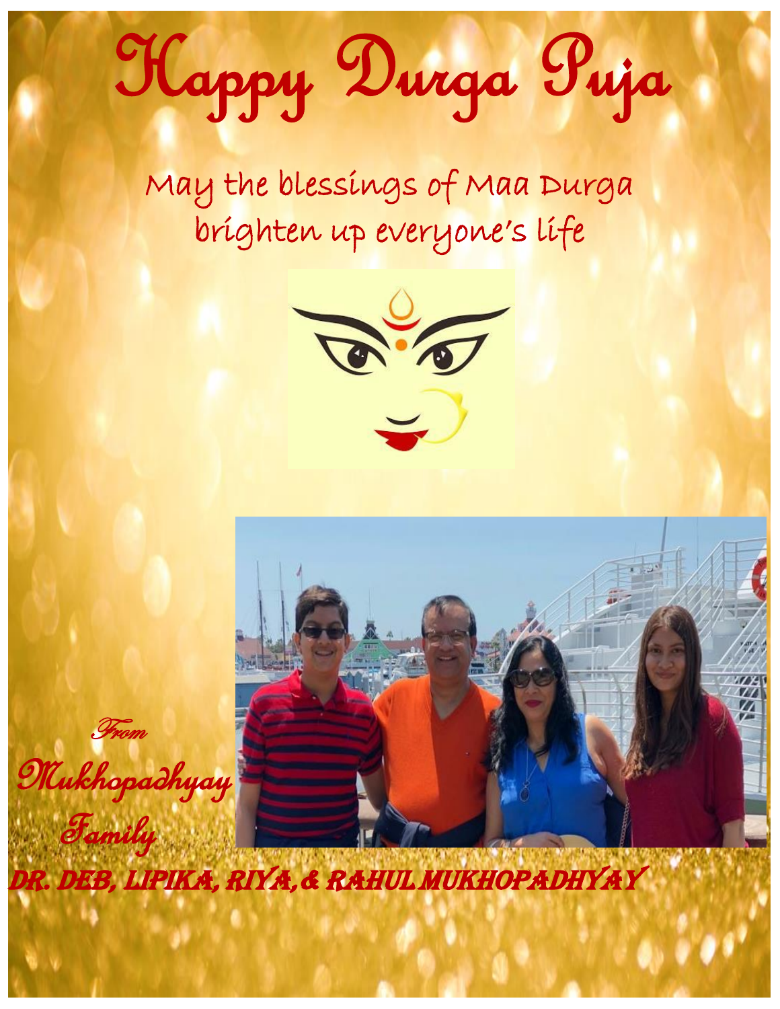## Happy Durga Puja

May the blessings of Maa Durga brighten up everyone's life





dr. Deb, Lipika, Riya,& Rahul mukhopadhyay

From

Family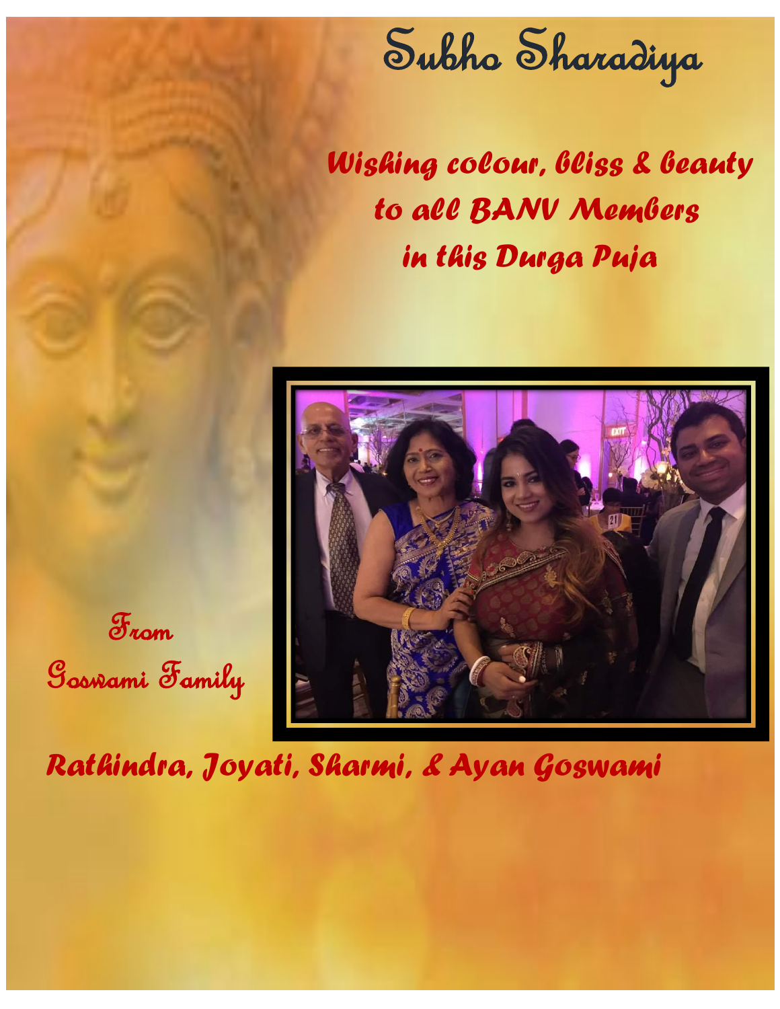

 *Wishing colour, bliss & beauty to all BANV Members in this Durga Puja*



From Goswami Family

*Rathindra, Joyati, Sharmi, & Ayan Goswami*